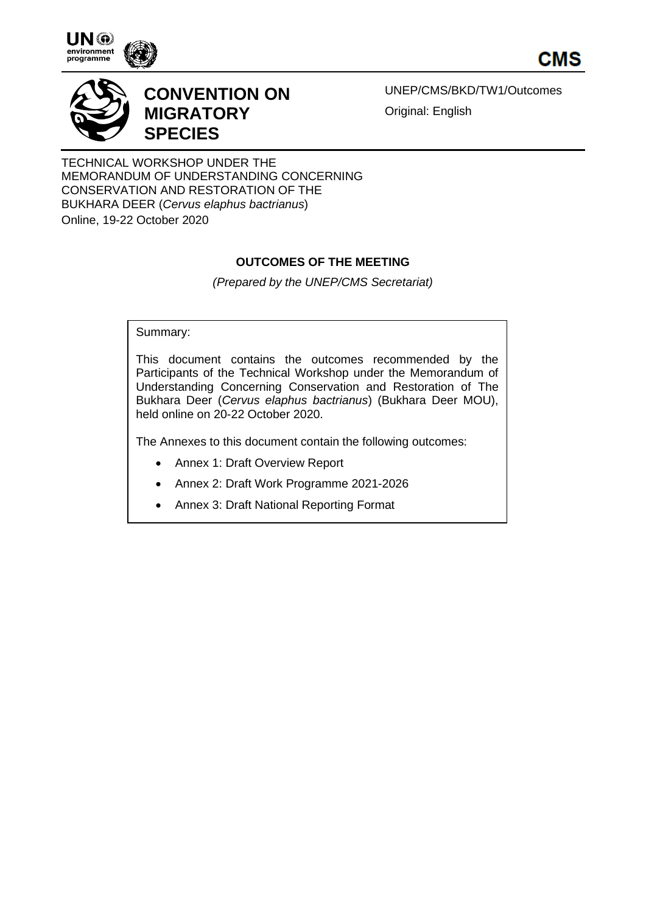

CMS



# **CONVENTION ON MIGRATORY SPECIES**

UNEP/CMS/BKD/TW1/Outcomes Original: English

TECHNICAL WORKSHOP UNDER THE MEMORANDUM OF UNDERSTANDING CONCERNING CONSERVATION AND RESTORATION OF THE BUKHARA DEER (*Cervus elaphus bactrianus*) Online, 19-22 October 2020

# **OUTCOMES OF THE MEETING**

*(Prepared by the UNEP/CMS Secretariat)*

Summary:

This document contains the outcomes recommended by the Participants of the Technical Workshop under the Memorandum of Understanding Concerning Conservation and Restoration of The Bukhara Deer (*Cervus elaphus bactrianus*) (Bukhara Deer MOU), held online on 20-22 October 2020.

The Annexes to this document contain the following outcomes:

- Annex 1: Draft Overview Report
- Annex 2: Draft Work Programme 2021-2026
- Annex 3: Draft National Reporting Format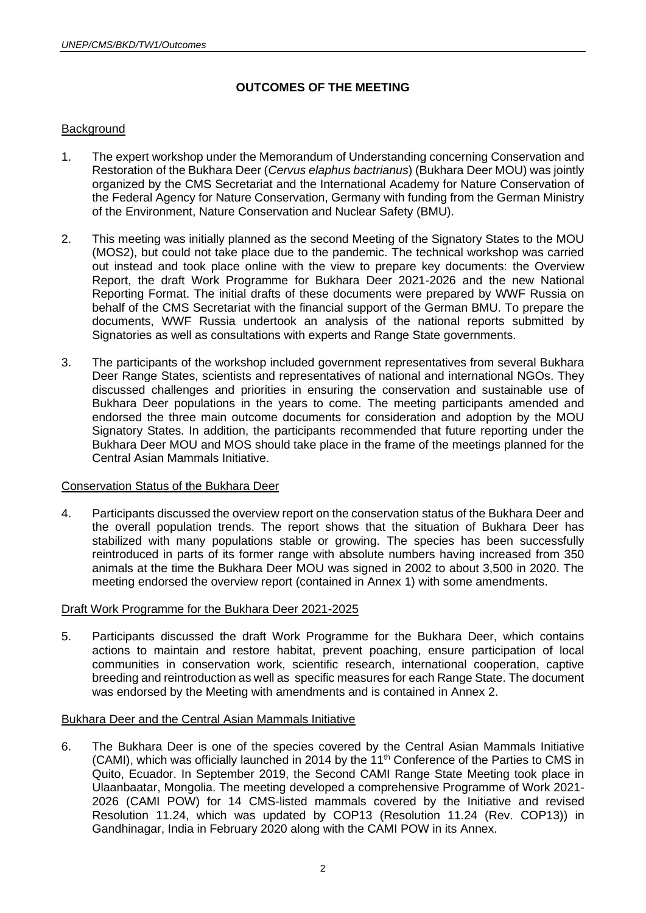# **OUTCOMES OF THE MEETING**

## **Background**

- 1. The expert workshop under the Memorandum of Understanding concerning Conservation and Restoration of the Bukhara Deer (*Cervus elaphus bactrianus*) (Bukhara Deer MOU) was jointly organized by the CMS Secretariat and the International Academy for Nature Conservation of the Federal Agency for Nature Conservation, Germany with funding from the German Ministry of the Environment, Nature Conservation and Nuclear Safety (BMU).
- 2. This meeting was initially planned as the second Meeting of the Signatory States to the MOU (MOS2), but could not take place due to the pandemic. The technical workshop was carried out instead and took place online with the view to prepare key documents: the Overview Report, the draft Work Programme for Bukhara Deer 2021-2026 and the new National Reporting Format. The initial drafts of these documents were prepared by WWF Russia on behalf of the CMS Secretariat with the financial support of the German BMU. To prepare the documents, WWF Russia undertook an analysis of the national reports submitted by Signatories as well as consultations with experts and Range State governments.
- 3. The participants of the workshop included government representatives from several Bukhara Deer Range States, scientists and representatives of national and international NGOs. They discussed challenges and priorities in ensuring the conservation and sustainable use of Bukhara Deer populations in the years to come. The meeting participants amended and endorsed the three main outcome documents for consideration and adoption by the MOU Signatory States. In addition, the participants recommended that future reporting under the Bukhara Deer MOU and MOS should take place in the frame of the meetings planned for the Central Asian Mammals Initiative.

#### Conservation Status of the Bukhara Deer

4. Participants discussed the overview report on the conservation status of the Bukhara Deer and the overall population trends. The report shows that the situation of Bukhara Deer has stabilized with many populations stable or growing. The species has been successfully reintroduced in parts of its former range with absolute numbers having increased from 350 animals at the time the Bukhara Deer MOU was signed in 2002 to about 3,500 in 2020. The meeting endorsed the overview report (contained in Annex 1) with some amendments.

#### Draft Work Programme for the Bukhara Deer 2021-2025

5. Participants discussed the draft Work Programme for the Bukhara Deer, which contains actions to maintain and restore habitat, prevent poaching, ensure participation of local communities in conservation work, scientific research, international cooperation, captive breeding and reintroduction as well as specific measures for each Range State. The document was endorsed by the Meeting with amendments and is contained in Annex 2.

#### Bukhara Deer and the Central Asian Mammals Initiative

6. The Bukhara Deer is one of the species covered by the Central Asian Mammals Initiative (CAMI), which was officially launched in 2014 by the  $11<sup>th</sup>$  Conference of the Parties to CMS in Quito, Ecuador. In September 2019, the Second CAMI Range State Meeting took place in Ulaanbaatar, Mongolia. The meeting developed a comprehensive Programme of Work 2021- 2026 (CAMI POW) for 14 CMS-listed mammals covered by the Initiative and revised Resolution 11.24, which was updated by COP13 (Resolution 11.24 (Rev. COP13)) in Gandhinagar, India in February 2020 along with the CAMI POW in its Annex.